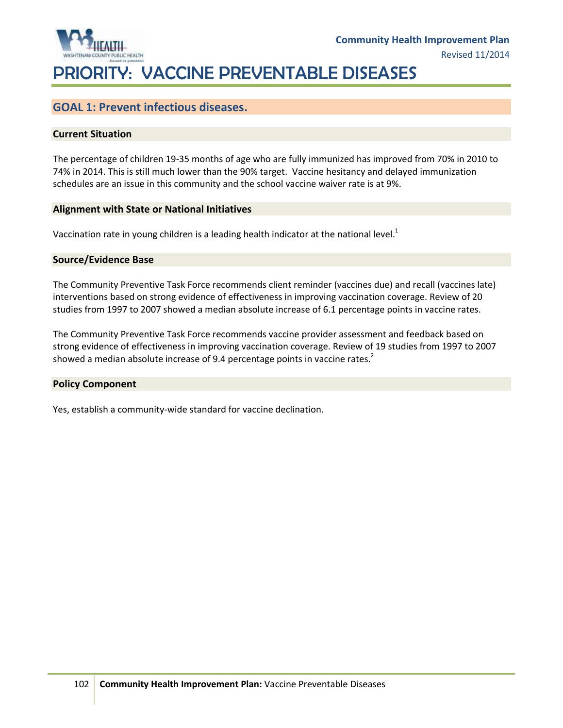

### **GOAL 1: Prevent infectious diseases.**

#### **Current Situation**

The percentage of children 19-35 months of age who are fully immunized has improved from 70% in 2010 to 74% in 2014. This is still much lower than the 90% target. Vaccine hesitancy and delayed immunization schedules are an issue in this community and the school vaccine waiver rate is at 9%.

#### **Alignment with State or National Initiatives**

Vaccination rate in young children is a leading health indicator at the national level.<sup>1</sup>

#### **Source/Evidence Base**

The Community Preventive Task Force recommends client reminder (vaccines due) and recall (vaccines late) interventions based on strong evidence of effectiveness in improving vaccination coverage. Review of 20 studies from 1997 to 2007 showed a median absolute increase of 6.1 percentage points in vaccine rates.

The Community Preventive Task Force recommends vaccine provider assessment and feedback based on strong evidence of effectiveness in improving vaccination coverage. Review of 19 studies from 1997 to 2007 showed a median absolute increase of 9.4 percentage points in vaccine rates. $2$ 

#### **Policy Component**

Yes, establish a community-wide standard for vaccine declination.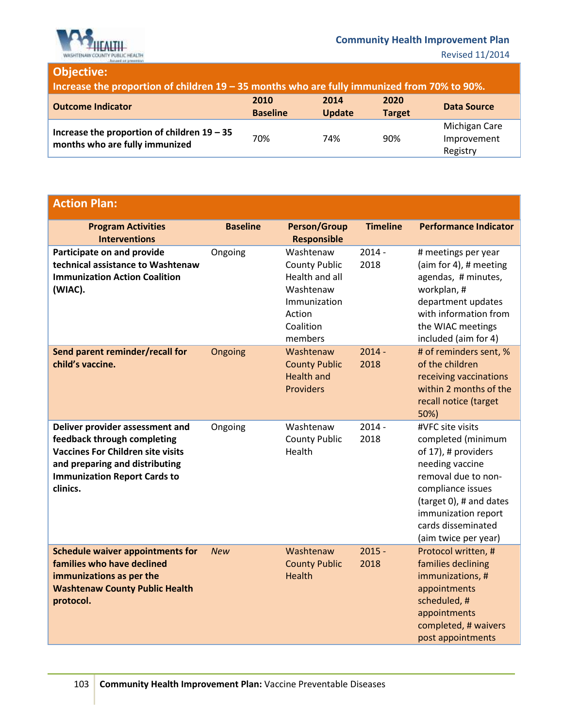

# **Objective:**

| Increase the proportion of children $19 - 35$ months who are fully immunized from 70% to 90%. |                         |                       |                       |                                          |
|-----------------------------------------------------------------------------------------------|-------------------------|-----------------------|-----------------------|------------------------------------------|
| <b>Outcome Indicator</b>                                                                      | 2010<br><b>Baseline</b> | 2014<br><b>Update</b> | 2020<br><b>Target</b> | <b>Data Source</b>                       |
| Increase the proportion of children $19 - 35$<br>months who are fully immunized               | 70%                     | 74%                   | 90%                   | Michigan Care<br>Improvement<br>Registry |

# **Action Plan:**

| <b>Program Activities</b><br><b>Interventions</b>                                                                                                                                               | <b>Baseline</b> | <b>Person/Group</b><br><b>Responsible</b>                                                                          | <b>Timeline</b>  | <b>Performance Indicator</b>                                                                                                                                                                                                 |
|-------------------------------------------------------------------------------------------------------------------------------------------------------------------------------------------------|-----------------|--------------------------------------------------------------------------------------------------------------------|------------------|------------------------------------------------------------------------------------------------------------------------------------------------------------------------------------------------------------------------------|
| Participate on and provide<br>technical assistance to Washtenaw<br><b>Immunization Action Coalition</b><br>(WIAC).                                                                              | Ongoing         | Washtenaw<br><b>County Public</b><br>Health and all<br>Washtenaw<br>Immunization<br>Action<br>Coalition<br>members | $2014 -$<br>2018 | # meetings per year<br>(aim for 4), # meeting<br>agendas, # minutes,<br>workplan, #<br>department updates<br>with information from<br>the WIAC meetings<br>included (aim for 4)                                              |
| Send parent reminder/recall for<br>child's vaccine.                                                                                                                                             | Ongoing         | Washtenaw<br><b>County Public</b><br><b>Health and</b><br><b>Providers</b>                                         | $2014 -$<br>2018 | # of reminders sent, %<br>of the children<br>receiving vaccinations<br>within 2 months of the<br>recall notice (target<br>50%)                                                                                               |
| Deliver provider assessment and<br>feedback through completing<br><b>Vaccines For Children site visits</b><br>and preparing and distributing<br><b>Immunization Report Cards to</b><br>clinics. | Ongoing         | Washtenaw<br><b>County Public</b><br>Health                                                                        | $2014 -$<br>2018 | #VFC site visits<br>completed (minimum<br>of 17), # providers<br>needing vaccine<br>removal due to non-<br>compliance issues<br>(target 0), # and dates<br>immunization report<br>cards disseminated<br>(aim twice per year) |
| <b>Schedule waiver appointments for</b><br>families who have declined<br>immunizations as per the<br><b>Washtenaw County Public Health</b><br>protocol.                                         | <b>New</b>      | Washtenaw<br><b>County Public</b><br><b>Health</b>                                                                 | $2015 -$<br>2018 | Protocol written, #<br>families declining<br>immunizations, #<br>appointments<br>scheduled, #<br>appointments<br>completed, # waivers<br>post appointments                                                                   |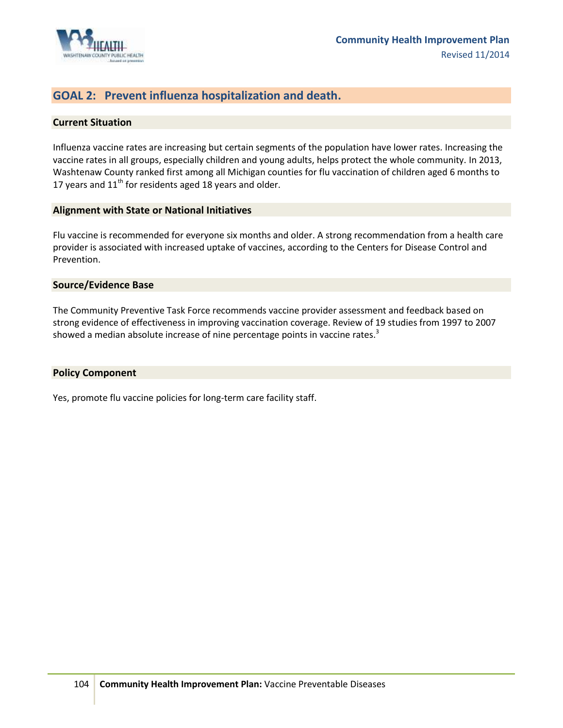

### **GOAL 2: Prevent influenza hospitalization and death.**

#### **Current Situation**

Influenza vaccine rates are increasing but certain segments of the population have lower rates. Increasing the vaccine rates in all groups, especially children and young adults, helps protect the whole community. In 2013, Washtenaw County ranked first among all Michigan counties for flu vaccination of children aged 6 months to 17 years and  $11<sup>th</sup>$  for residents aged 18 years and older.

#### **Alignment with State or National Initiatives**

Flu vaccine is recommended for everyone six months and older. A strong recommendation from a health care provider is associated with increased uptake of vaccines, according to the Centers for Disease Control and Prevention.

#### **Source/Evidence Base**

The Community Preventive Task Force recommends vaccine provider assessment and feedback based on strong evidence of effectiveness in improving vaccination coverage. Review of 19 studies from 1997 to 2007 showed a median absolute increase of nine percentage points in vaccine rates.<sup>3</sup>

#### **Policy Component**

Yes, promote flu vaccine policies for long-term care facility staff.